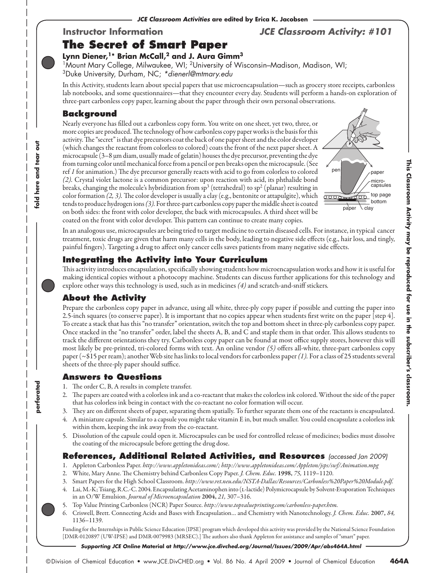## **The Secret of Smart Paper**

### **Instructor Information** *JCE Classroom Activity: #101*

# **Lynn Diener,1\* Brian McCall,2 and J. Aura Gimm3**

1Mount Mary College, Milwaukee, WI; 2University of Wisconsin–Madison, Madison, WI; 3Duke University, Durham, NC; *\*dienerl@mtmary.edu*

In this Activity, students learn about special papers that use microencapsulation—such as grocery store receipts, carbonless lab notebooks, and some questionnaires—that they encounter every day. Students will perform a hands-on exploration of three-part carbonless copy paper, learning about the paper through their own personal observations.

#### **Background**

**fold here and tear out**

fold here and tear

흥

**perforated**

perforated

Nearly everyone has filled out a carbonless copy form. You write on one sheet, yet two, three, or more copies are produced. The technology of how carbonless copy paper works is the basis for this activity. The "secret" is that dye precursors coat the back of one paper sheet and the color developer (which changes the reactant from colorless to colored) coats the front of the next paper sheet. A microcapsule (3–8 µm diam, usually made of gelatin) houses the dye precursor, preventing the dye from turning color until mechanical force from a pencil or pen breaks open the microcapsule. (See ref *1* for animation.) The dye precursor generally reacts with acid to go from colorless to colored *(2).* Crystal violet lactone is a common precursor: upon reaction with acid, its phthalide bond breaks, changing the molecule's hybridization from  $sp^3$  (tetrahedral) to  $sp^2$  (planar) resulting in color formation *(2, 3).* The color developer is usually a clay (e.g., bentonite or attapulgite), which tends to produce hydrogen ions *(3).* For three-part carbonless copy paper the middle sheet is coated on both sides: the front with color developer, the back with microcapsules. A third sheet will be coated on the front with color developer. This pattern can continue to create many copies.



In an analogous use, microcapsules are being tried to target medicine to certain diseased cells. For instance, in typical cancer treatment, toxic drugs are given that harm many cells in the body, leading to negative side effects (e.g., hair loss, and tingly, painful fingers). Targeting a drug to affect only cancer cells saves patients from many negative side effects.

#### **Integrating the Activity into Your Curriculum**

This activity introduces encapsulation, specifically showing students how microencapsulation works and how it is useful for making identical copies without a photocopy machine. Students can discuss further applications for this technology and explore other ways this technology is used, such as in medicines *(4)* and scratch-and-sniff stickers*.*

#### **About the Activity**

Prepare the carbonless copy paper in advance, using all white, three-ply copy paper if possible and cutting the paper into 2.5-inch squares (to conserve paper). It is important that no copies appear when students first write on the paper [step 4]. To create a stack that has this "no transfer" orientation, switch the top and bottom sheet in three-ply carbonless copy paper. Once stacked in the "no transfer" order, label the sheets A, B, and C and staple them in that order. This allows students to track the different orientations they try. Carbonless copy paper can be found at most office supply stores, however this will most likely be pre-printed, tri-colored forms with text. An online vendor *(5)* offers all-white, three-part carbonless copy paper (~\$15 per ream); another Web site has links to local vendors for carbonless paper *(1).* For a class of 25 students several sheets of the three-ply paper should suffice.

#### **Answers to Questions**

- 1. The order C, B, A results in complete transfer.
- 2. The papers are coated with a colorless ink and a co-reactant that makes the colorless ink colored. Without the side of the paper that has colorless ink being in contact with the co-reactant no color formation will occur.
- 3. They are on different sheets of paper, separating them spatially. To further separate them one of the reactants is encapsulated.
- 4. A miniature capsule. Similar to a capsule you might take vitamin E in, but much smaller. You could encapsulate a colorless ink within them, keeping the ink away from the co-reactant.
- 5. Dissolution of the capsule could open it. Microcapsules can be used for controlled release of medicines; bodies must dissolve the coating of the microcapsule before getting the drug dose.

#### **References, Additional Related Activities, and Resources** *(accessed Jan 2009)*

- 1. Appleton Carbonless Paper. *<http://www.appletonideas.com/>; <http://www.appletonideas.com/Appleton/jsps/swf/Animation.mpg>*
- 2. White, Mary Anne. The Chemistry behind Carbonless Copy Paper. *J. Chem. Educ.* 1998, *75,* [1119–1120](http://www.jce.divched.org/Journal/Issues/1998/Sep/abs1119.html).
- 3. Smart Papers for the High School Classroom. *[http://www.ret.neu.edu/NSTA-Dallas/Resources/Carbonless%20Paper%20Module.pdf.](http://www.ret.neu.edu/NSTA-Dallas/Resources/Carbonless%20Paper%20Module.pdf)*
- 4. Lai, M.-K; Tsiang, R.C.-C. 2004. Encapsulating Acetaminophen into (l-lactide) Polymicrocapsule by Solvent-Evaporation Techniques in an O/W Emulsion. *Journal of Microencapsulation* 2004, *21,* 307–316.
- 5. Top Value Printing Carbonless (NCR) Paper Source. *<http://www.topvalueprinting.com/carbonless-paper.htm>.*
- 6. Criswell, Brett. Connecting Acids and Bases with Encapsulation… and Chemistry with Nanotechnology. *J. Chem. Educ.* [2007,](http://www.jce.divched.org/Journal/Issues/2007/Jul/abs1136.html) *84,* [1136–1139](http://www.jce.divched.org/Journal/Issues/2007/Jul/abs1136.html).

Funding for the Internships in Public Science Education (IPSE) program which developed this activity was provided by the National Science Foundation [DMR-0120897 (UW-IPSE) and DMR-0079983 (MRSEC).] The authors also thank Appleton for assistance and samples of "smart" paper.

*Supporting JCE Online* **Material at** *http://www.jce.divched.org/Journal/Issues/2009/Apr/abs464A.html*